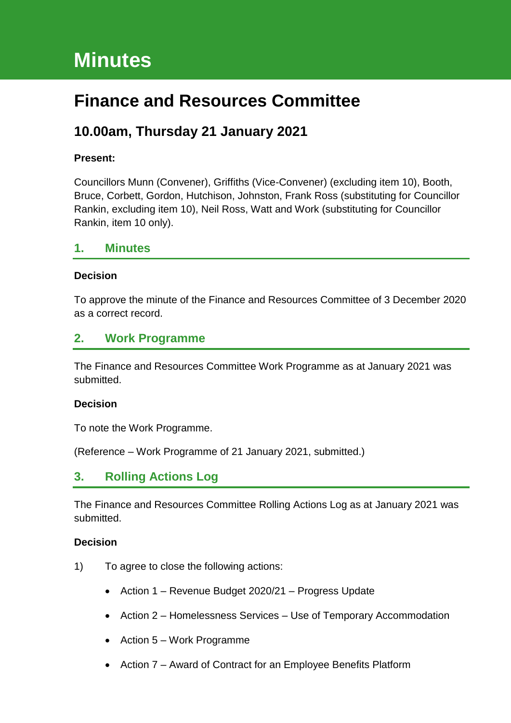# **Minutes**

# **Finance and Resources Committee**

# **10.00am, Thursday 21 January 2021**

### **Present:**

Councillors Munn (Convener), Griffiths (Vice-Convener) (excluding item 10), Booth, Bruce, Corbett, Gordon, Hutchison, Johnston, Frank Ross (substituting for Councillor Rankin, excluding item 10), Neil Ross, Watt and Work (substituting for Councillor Rankin, item 10 only).

### **1. Minutes**

#### **Decision**

To approve the minute of the Finance and Resources Committee of 3 December 2020 as a correct record.

### **2. Work Programme**

The Finance and Resources Committee Work Programme as at January 2021 was submitted.

#### **Decision**

To note the Work Programme.

(Reference – Work Programme of 21 January 2021, submitted.)

### **3. Rolling Actions Log**

The Finance and Resources Committee Rolling Actions Log as at January 2021 was submitted.

- 1) To agree to close the following actions:
	- Action 1 Revenue Budget 2020/21 Progress Update
	- Action 2 Homelessness Services Use of Temporary Accommodation
	- Action 5 Work Programme
	- Action 7 Award of Contract for an Employee Benefits Platform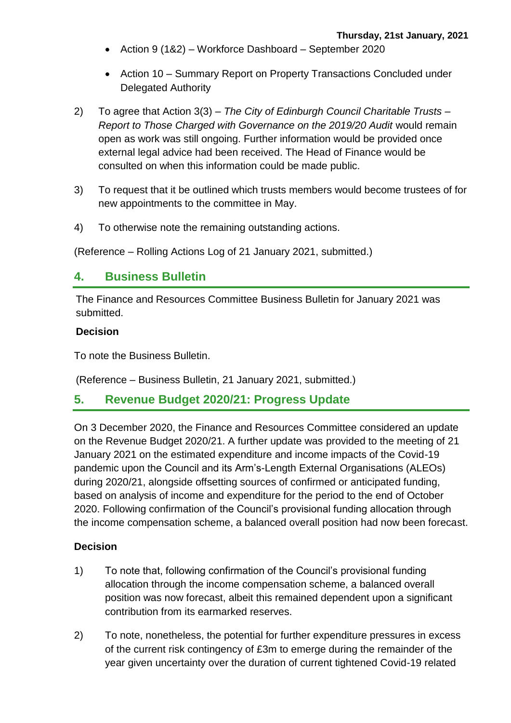- Action 9 (1&2) Workforce Dashboard September 2020
- Action 10 Summary Report on Property Transactions Concluded under Delegated Authority
- 2) To agree that Action 3(3) *The City of Edinburgh Council Charitable Trusts – Report to Those Charged with Governance on the 2019/20 Audit would remain* open as work was still ongoing. Further information would be provided once external legal advice had been received. The Head of Finance would be consulted on when this information could be made public.
- 3) To request that it be outlined which trusts members would become trustees of for new appointments to the committee in May.
- 4) To otherwise note the remaining outstanding actions.

(Reference – Rolling Actions Log of 21 January 2021, submitted.)

### **4. Business Bulletin**

The Finance and Resources Committee Business Bulletin for January 2021 was submitted.

### **Decision**

To note the Business Bulletin.

(Reference – Business Bulletin, 21 January 2021, submitted.)

### **5. Revenue Budget 2020/21: Progress Update**

On 3 December 2020, the Finance and Resources Committee considered an update on the Revenue Budget 2020/21. A further update was provided to the meeting of 21 January 2021 on the estimated expenditure and income impacts of the Covid-19 pandemic upon the Council and its Arm's-Length External Organisations (ALEOs) during 2020/21, alongside offsetting sources of confirmed or anticipated funding, based on analysis of income and expenditure for the period to the end of October 2020. Following confirmation of the Council's provisional funding allocation through the income compensation scheme, a balanced overall position had now been forecast.

- 1) To note that, following confirmation of the Council's provisional funding allocation through the income compensation scheme, a balanced overall position was now forecast, albeit this remained dependent upon a significant contribution from its earmarked reserves.
- 2) To note, nonetheless, the potential for further expenditure pressures in excess of the current risk contingency of £3m to emerge during the remainder of the year given uncertainty over the duration of current tightened Covid-19 related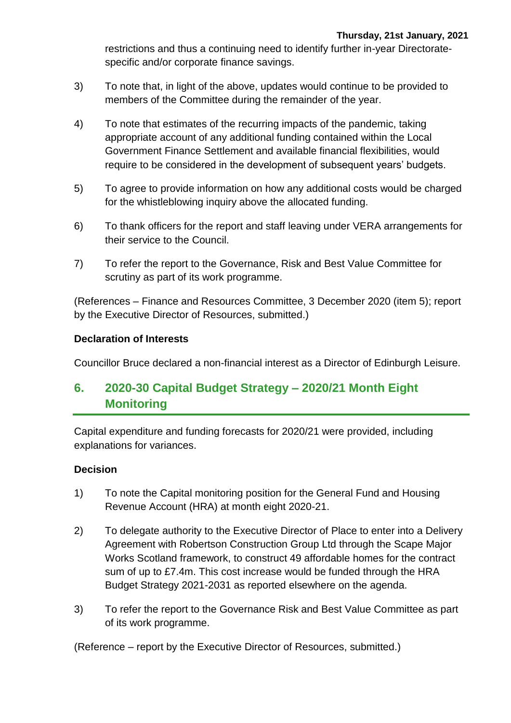restrictions and thus a continuing need to identify further in-year Directoratespecific and/or corporate finance savings.

- 3) To note that, in light of the above, updates would continue to be provided to members of the Committee during the remainder of the year.
- 4) To note that estimates of the recurring impacts of the pandemic, taking appropriate account of any additional funding contained within the Local Government Finance Settlement and available financial flexibilities, would require to be considered in the development of subsequent years' budgets.
- 5) To agree to provide information on how any additional costs would be charged for the whistleblowing inquiry above the allocated funding.
- 6) To thank officers for the report and staff leaving under VERA arrangements for their service to the Council.
- 7) To refer the report to the Governance, Risk and Best Value Committee for scrutiny as part of its work programme.

(References – Finance and Resources Committee, 3 December 2020 (item 5); report by the Executive Director of Resources, submitted.)

### **Declaration of Interests**

Councillor Bruce declared a non-financial interest as a Director of Edinburgh Leisure.

# **6. 2020-30 Capital Budget Strategy – 2020/21 Month Eight Monitoring**

Capital expenditure and funding forecasts for 2020/21 were provided, including explanations for variances.

### **Decision**

- 1) To note the Capital monitoring position for the General Fund and Housing Revenue Account (HRA) at month eight 2020-21.
- 2) To delegate authority to the Executive Director of Place to enter into a Delivery Agreement with Robertson Construction Group Ltd through the Scape Major Works Scotland framework, to construct 49 affordable homes for the contract sum of up to £7.4m. This cost increase would be funded through the HRA Budget Strategy 2021-2031 as reported elsewhere on the agenda.
- 3) To refer the report to the Governance Risk and Best Value Committee as part of its work programme.

(Reference – report by the Executive Director of Resources, submitted.)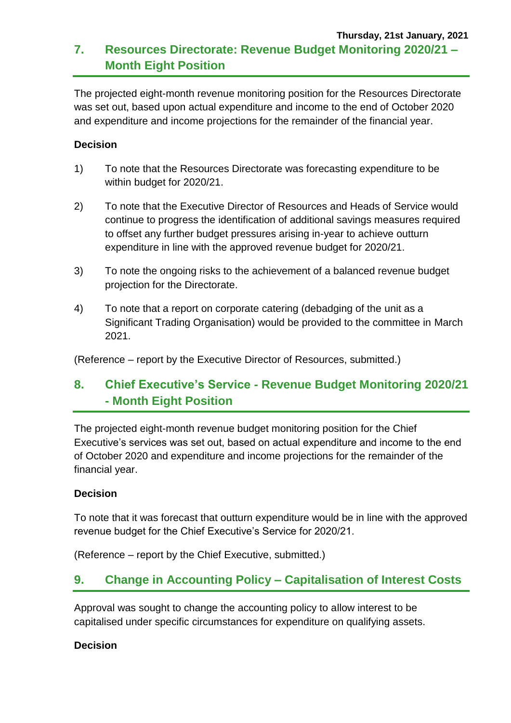### **Thursday, 21st January, 2021 7. Resources Directorate: Revenue Budget Monitoring 2020/21 – Month Eight Position**

The projected eight-month revenue monitoring position for the Resources Directorate was set out, based upon actual expenditure and income to the end of October 2020 and expenditure and income projections for the remainder of the financial year.

### **Decision**

- 1) To note that the Resources Directorate was forecasting expenditure to be within budget for 2020/21.
- 2) To note that the Executive Director of Resources and Heads of Service would continue to progress the identification of additional savings measures required to offset any further budget pressures arising in-year to achieve outturn expenditure in line with the approved revenue budget for 2020/21.
- 3) To note the ongoing risks to the achievement of a balanced revenue budget projection for the Directorate.
- 4) To note that a report on corporate catering (debadging of the unit as a Significant Trading Organisation) would be provided to the committee in March 2021.

(Reference – report by the Executive Director of Resources, submitted.)

# **8. Chief Executive's Service - Revenue Budget Monitoring 2020/21 - Month Eight Position**

The projected eight-month revenue budget monitoring position for the Chief Executive's services was set out, based on actual expenditure and income to the end of October 2020 and expenditure and income projections for the remainder of the financial year.

### **Decision**

To note that it was forecast that outturn expenditure would be in line with the approved revenue budget for the Chief Executive's Service for 2020/21.

(Reference – report by the Chief Executive, submitted.)

# **9. Change in Accounting Policy – Capitalisation of Interest Costs**

Approval was sought to change the accounting policy to allow interest to be capitalised under specific circumstances for expenditure on qualifying assets.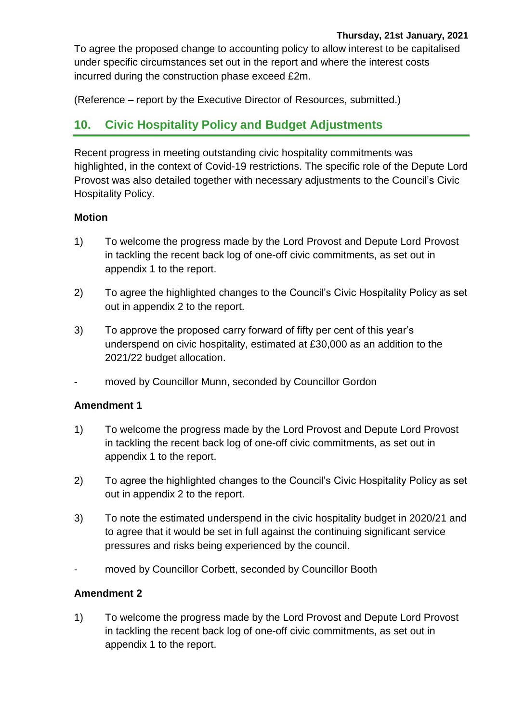To agree the proposed change to accounting policy to allow interest to be capitalised under specific circumstances set out in the report and where the interest costs incurred during the construction phase exceed £2m.

(Reference – report by the Executive Director of Resources, submitted.)

# **10. Civic Hospitality Policy and Budget Adjustments**

Recent progress in meeting outstanding civic hospitality commitments was highlighted, in the context of Covid-19 restrictions. The specific role of the Depute Lord Provost was also detailed together with necessary adjustments to the Council's Civic Hospitality Policy.

### **Motion**

- 1) To welcome the progress made by the Lord Provost and Depute Lord Provost in tackling the recent back log of one-off civic commitments, as set out in appendix 1 to the report.
- 2) To agree the highlighted changes to the Council's Civic Hospitality Policy as set out in appendix 2 to the report.
- 3) To approve the proposed carry forward of fifty per cent of this year's underspend on civic hospitality, estimated at £30,000 as an addition to the 2021/22 budget allocation.
- moved by Councillor Munn, seconded by Councillor Gordon

### **Amendment 1**

- 1) To welcome the progress made by the Lord Provost and Depute Lord Provost in tackling the recent back log of one-off civic commitments, as set out in appendix 1 to the report.
- 2) To agree the highlighted changes to the Council's Civic Hospitality Policy as set out in appendix 2 to the report.
- 3) To note the estimated underspend in the civic hospitality budget in 2020/21 and to agree that it would be set in full against the continuing significant service pressures and risks being experienced by the council.
- moved by Councillor Corbett, seconded by Councillor Booth

### **Amendment 2**

1) To welcome the progress made by the Lord Provost and Depute Lord Provost in tackling the recent back log of one-off civic commitments, as set out in appendix 1 to the report.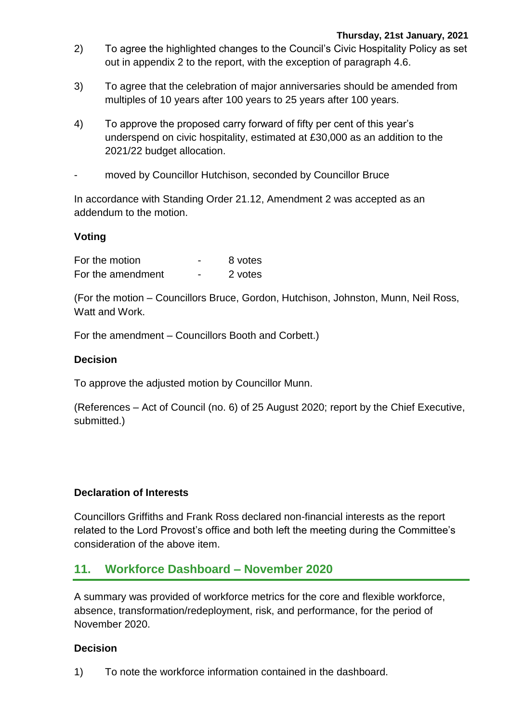- 2) To agree the highlighted changes to the Council's Civic Hospitality Policy as set out in appendix 2 to the report, with the exception of paragraph 4.6.
- 3) To agree that the celebration of major anniversaries should be amended from multiples of 10 years after 100 years to 25 years after 100 years.
- 4) To approve the proposed carry forward of fifty per cent of this year's underspend on civic hospitality, estimated at £30,000 as an addition to the 2021/22 budget allocation.
- moved by Councillor Hutchison, seconded by Councillor Bruce

In accordance with Standing Order 21.12, Amendment 2 was accepted as an addendum to the motion.

### **Voting**

| For the motion    |   | 8 votes |
|-------------------|---|---------|
| For the amendment | - | 2 votes |

(For the motion – Councillors Bruce, Gordon, Hutchison, Johnston, Munn, Neil Ross, Watt and Work.

For the amendment – Councillors Booth and Corbett.)

### **Decision**

To approve the adjusted motion by Councillor Munn.

(References – Act of Council (no. 6) of 25 August 2020; report by the Chief Executive, submitted.)

### **Declaration of Interests**

Councillors Griffiths and Frank Ross declared non-financial interests as the report related to the Lord Provost's office and both left the meeting during the Committee's consideration of the above item.

### **11. Workforce Dashboard – November 2020**

A summary was provided of workforce metrics for the core and flexible workforce, absence, transformation/redeployment, risk, and performance, for the period of November 2020.

#### **Decision**

1) To note the workforce information contained in the dashboard.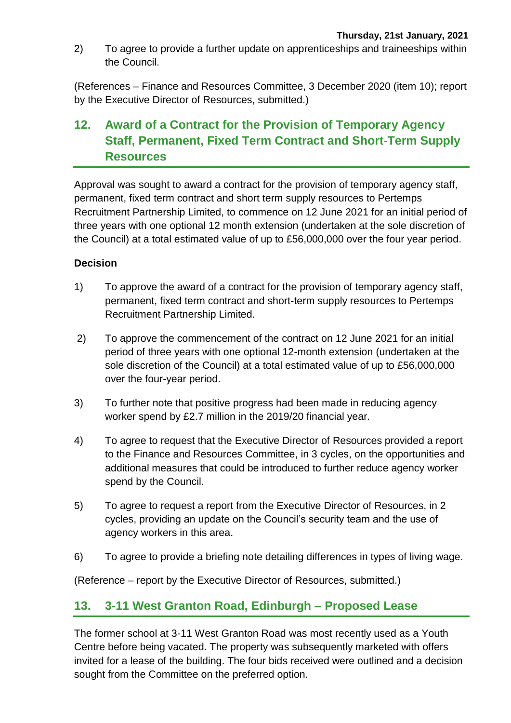2) To agree to provide a further update on apprenticeships and traineeships within the Council.

(References – Finance and Resources Committee, 3 December 2020 (item 10); report by the Executive Director of Resources, submitted.)

# **12. Award of a Contract for the Provision of Temporary Agency Staff, Permanent, Fixed Term Contract and Short-Term Supply Resources**

Approval was sought to award a contract for the provision of temporary agency staff, permanent, fixed term contract and short term supply resources to Pertemps Recruitment Partnership Limited, to commence on 12 June 2021 for an initial period of three years with one optional 12 month extension (undertaken at the sole discretion of the Council) at a total estimated value of up to £56,000,000 over the four year period.

### **Decision**

- 1) To approve the award of a contract for the provision of temporary agency staff, permanent, fixed term contract and short-term supply resources to Pertemps Recruitment Partnership Limited.
- 2) To approve the commencement of the contract on 12 June 2021 for an initial period of three years with one optional 12-month extension (undertaken at the sole discretion of the Council) at a total estimated value of up to £56,000,000 over the four-year period.
- 3) To further note that positive progress had been made in reducing agency worker spend by £2.7 million in the 2019/20 financial year.
- 4) To agree to request that the Executive Director of Resources provided a report to the Finance and Resources Committee, in 3 cycles, on the opportunities and additional measures that could be introduced to further reduce agency worker spend by the Council.
- 5) To agree to request a report from the Executive Director of Resources, in 2 cycles, providing an update on the Council's security team and the use of agency workers in this area.
- 6) To agree to provide a briefing note detailing differences in types of living wage.

(Reference – report by the Executive Director of Resources, submitted.)

### **13. 3-11 West Granton Road, Edinburgh – Proposed Lease**

The former school at 3-11 West Granton Road was most recently used as a Youth Centre before being vacated. The property was subsequently marketed with offers invited for a lease of the building. The four bids received were outlined and a decision sought from the Committee on the preferred option.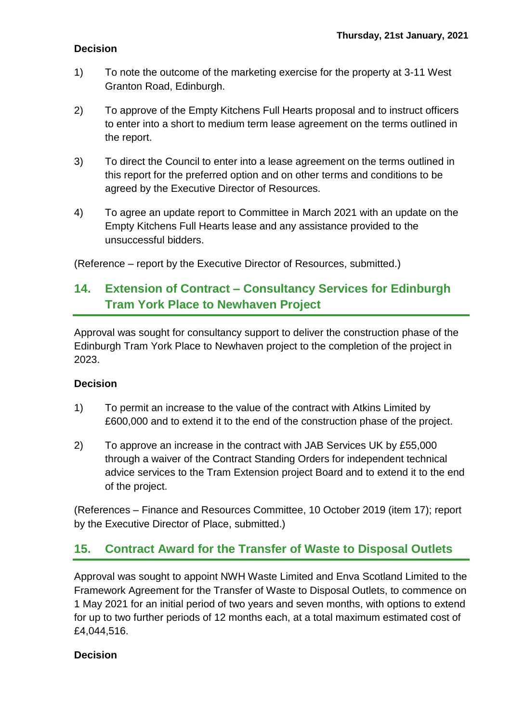### **Decision**

- 1) To note the outcome of the marketing exercise for the property at 3-11 West Granton Road, Edinburgh.
- 2) To approve of the Empty Kitchens Full Hearts proposal and to instruct officers to enter into a short to medium term lease agreement on the terms outlined in the report.
- 3) To direct the Council to enter into a lease agreement on the terms outlined in this report for the preferred option and on other terms and conditions to be agreed by the Executive Director of Resources.
- 4) To agree an update report to Committee in March 2021 with an update on the Empty Kitchens Full Hearts lease and any assistance provided to the unsuccessful bidders.

(Reference – report by the Executive Director of Resources, submitted.)

# **14. Extension of Contract – Consultancy Services for Edinburgh Tram York Place to Newhaven Project**

Approval was sought for consultancy support to deliver the construction phase of the Edinburgh Tram York Place to Newhaven project to the completion of the project in 2023.

### **Decision**

- 1) To permit an increase to the value of the contract with Atkins Limited by £600,000 and to extend it to the end of the construction phase of the project.
- 2) To approve an increase in the contract with JAB Services UK by £55,000 through a waiver of the Contract Standing Orders for independent technical advice services to the Tram Extension project Board and to extend it to the end of the project.

(References – Finance and Resources Committee, 10 October 2019 (item 17); report by the Executive Director of Place, submitted.)

# **15. Contract Award for the Transfer of Waste to Disposal Outlets**

Approval was sought to appoint NWH Waste Limited and Enva Scotland Limited to the Framework Agreement for the Transfer of Waste to Disposal Outlets, to commence on 1 May 2021 for an initial period of two years and seven months, with options to extend for up to two further periods of 12 months each, at a total maximum estimated cost of £4,044,516.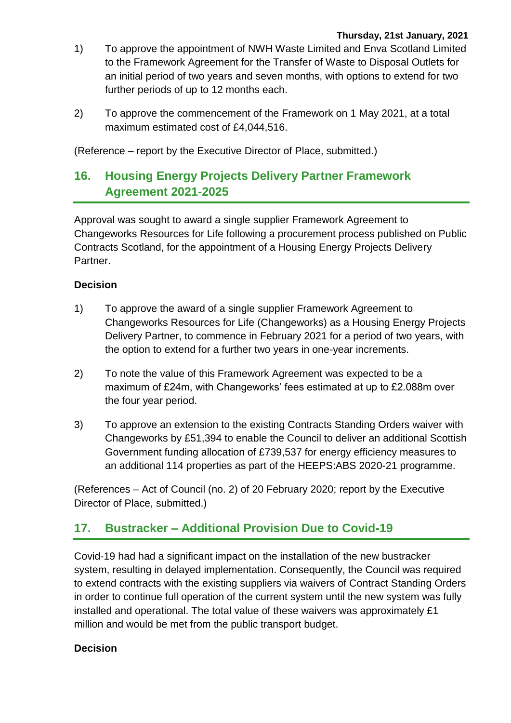- 1) To approve the appointment of NWH Waste Limited and Enva Scotland Limited to the Framework Agreement for the Transfer of Waste to Disposal Outlets for an initial period of two years and seven months, with options to extend for two further periods of up to 12 months each.
- 2) To approve the commencement of the Framework on 1 May 2021, at a total maximum estimated cost of £4,044,516.

(Reference – report by the Executive Director of Place, submitted.)

# **16. Housing Energy Projects Delivery Partner Framework Agreement 2021-2025**

Approval was sought to award a single supplier Framework Agreement to Changeworks Resources for Life following a procurement process published on Public Contracts Scotland, for the appointment of a Housing Energy Projects Delivery Partner.

### **Decision**

- 1) To approve the award of a single supplier Framework Agreement to Changeworks Resources for Life (Changeworks) as a Housing Energy Projects Delivery Partner, to commence in February 2021 for a period of two years, with the option to extend for a further two years in one-year increments.
- 2) To note the value of this Framework Agreement was expected to be a maximum of £24m, with Changeworks' fees estimated at up to £2.088m over the four year period.
- 3) To approve an extension to the existing Contracts Standing Orders waiver with Changeworks by £51,394 to enable the Council to deliver an additional Scottish Government funding allocation of £739,537 for energy efficiency measures to an additional 114 properties as part of the HEEPS:ABS 2020-21 programme.

(References – Act of Council (no. 2) of 20 February 2020; report by the Executive Director of Place, submitted.)

# **17. Bustracker – Additional Provision Due to Covid-19**

Covid-19 had had a significant impact on the installation of the new bustracker system, resulting in delayed implementation. Consequently, the Council was required to extend contracts with the existing suppliers via waivers of Contract Standing Orders in order to continue full operation of the current system until the new system was fully installed and operational. The total value of these waivers was approximately £1 million and would be met from the public transport budget.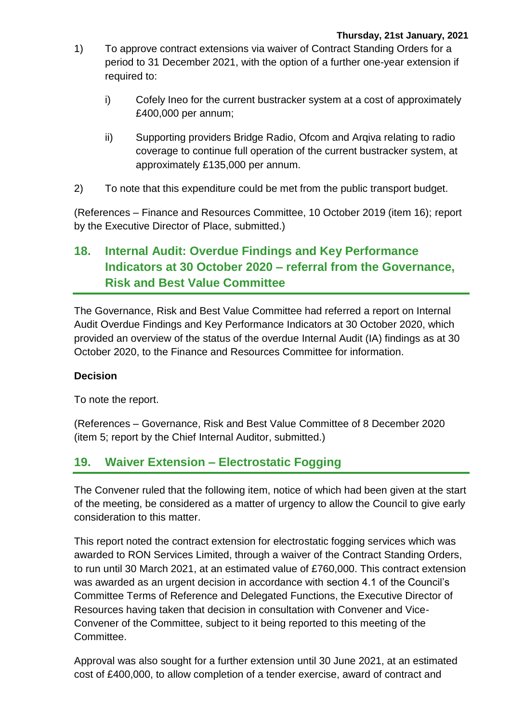- 1) To approve contract extensions via waiver of Contract Standing Orders for a period to 31 December 2021, with the option of a further one-year extension if required to:
	- i) Cofely Ineo for the current bustracker system at a cost of approximately £400,000 per annum;
	- ii) Supporting providers Bridge Radio, Ofcom and Arqiva relating to radio coverage to continue full operation of the current bustracker system, at approximately £135,000 per annum.
- 2) To note that this expenditure could be met from the public transport budget.

(References – Finance and Resources Committee, 10 October 2019 (item 16); report by the Executive Director of Place, submitted.)

# **18. Internal Audit: Overdue Findings and Key Performance Indicators at 30 October 2020 – referral from the Governance, Risk and Best Value Committee**

The Governance, Risk and Best Value Committee had referred a report on Internal Audit Overdue Findings and Key Performance Indicators at 30 October 2020, which provided an overview of the status of the overdue Internal Audit (IA) findings as at 30 October 2020, to the Finance and Resources Committee for information.

### **Decision**

To note the report.

(References – Governance, Risk and Best Value Committee of 8 December 2020 (item 5; report by the Chief Internal Auditor, submitted.)

# **19. Waiver Extension – Electrostatic Fogging**

The Convener ruled that the following item, notice of which had been given at the start of the meeting, be considered as a matter of urgency to allow the Council to give early consideration to this matter.

This report noted the contract extension for electrostatic fogging services which was awarded to RON Services Limited, through a waiver of the Contract Standing Orders, to run until 30 March 2021, at an estimated value of £760,000. This contract extension was awarded as an urgent decision in accordance with section 4.1 of the Council's Committee Terms of Reference and Delegated Functions, the Executive Director of Resources having taken that decision in consultation with Convener and Vice-Convener of the Committee, subject to it being reported to this meeting of the Committee.

Approval was also sought for a further extension until 30 June 2021, at an estimated cost of £400,000, to allow completion of a tender exercise, award of contract and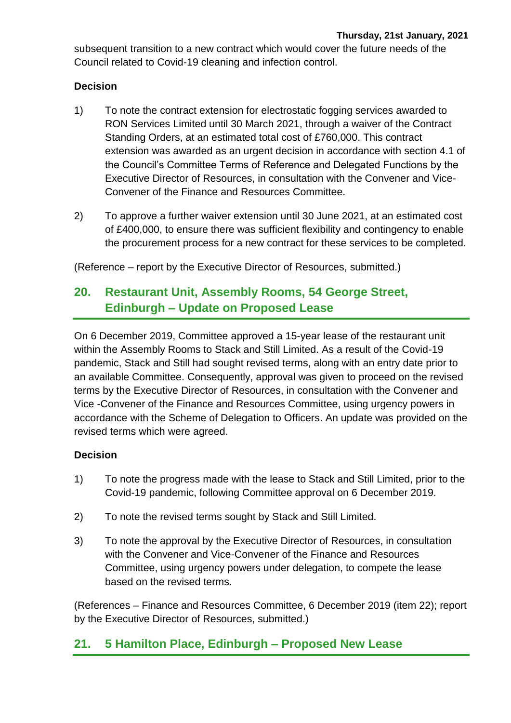subsequent transition to a new contract which would cover the future needs of the Council related to Covid-19 cleaning and infection control.

### **Decision**

- 1) To note the contract extension for electrostatic fogging services awarded to RON Services Limited until 30 March 2021, through a waiver of the Contract Standing Orders, at an estimated total cost of £760,000. This contract extension was awarded as an urgent decision in accordance with section 4.1 of the Council's Committee Terms of Reference and Delegated Functions by the Executive Director of Resources, in consultation with the Convener and Vice-Convener of the Finance and Resources Committee.
- 2) To approve a further waiver extension until 30 June 2021, at an estimated cost of £400,000, to ensure there was sufficient flexibility and contingency to enable the procurement process for a new contract for these services to be completed.

(Reference – report by the Executive Director of Resources, submitted.)

# **20. Restaurant Unit, Assembly Rooms, 54 George Street, Edinburgh – Update on Proposed Lease**

On 6 December 2019, Committee approved a 15-year lease of the restaurant unit within the Assembly Rooms to Stack and Still Limited. As a result of the Covid-19 pandemic, Stack and Still had sought revised terms, along with an entry date prior to an available Committee. Consequently, approval was given to proceed on the revised terms by the Executive Director of Resources, in consultation with the Convener and Vice -Convener of the Finance and Resources Committee, using urgency powers in accordance with the Scheme of Delegation to Officers. An update was provided on the revised terms which were agreed.

### **Decision**

- 1) To note the progress made with the lease to Stack and Still Limited, prior to the Covid-19 pandemic, following Committee approval on 6 December 2019.
- 2) To note the revised terms sought by Stack and Still Limited.
- 3) To note the approval by the Executive Director of Resources, in consultation with the Convener and Vice-Convener of the Finance and Resources Committee, using urgency powers under delegation, to compete the lease based on the revised terms.

(References – Finance and Resources Committee, 6 December 2019 (item 22); report by the Executive Director of Resources, submitted.)

# **21. 5 Hamilton Place, Edinburgh – Proposed New Lease**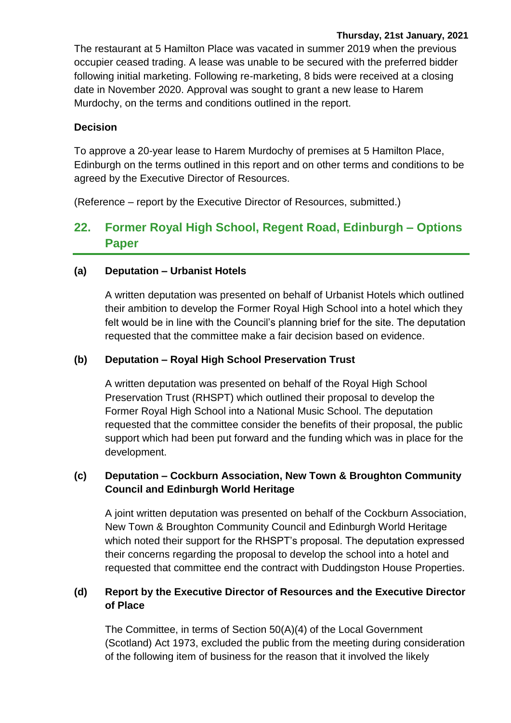#### **Thursday, 21st January, 2021**

The restaurant at 5 Hamilton Place was vacated in summer 2019 when the previous occupier ceased trading. A lease was unable to be secured with the preferred bidder following initial marketing. Following re-marketing, 8 bids were received at a closing date in November 2020. Approval was sought to grant a new lease to Harem Murdochy, on the terms and conditions outlined in the report.

### **Decision**

To approve a 20-year lease to Harem Murdochy of premises at 5 Hamilton Place, Edinburgh on the terms outlined in this report and on other terms and conditions to be agreed by the Executive Director of Resources.

(Reference – report by the Executive Director of Resources, submitted.)

# **22. Former Royal High School, Regent Road, Edinburgh – Options Paper**

### **(a) Deputation – Urbanist Hotels**

A written deputation was presented on behalf of Urbanist Hotels which outlined their ambition to develop the Former Royal High School into a hotel which they felt would be in line with the Council's planning brief for the site. The deputation requested that the committee make a fair decision based on evidence.

### **(b) Deputation – Royal High School Preservation Trust**

A written deputation was presented on behalf of the Royal High School Preservation Trust (RHSPT) which outlined their proposal to develop the Former Royal High School into a National Music School. The deputation requested that the committee consider the benefits of their proposal, the public support which had been put forward and the funding which was in place for the development.

### **(c) Deputation – Cockburn Association, New Town & Broughton Community Council and Edinburgh World Heritage**

A joint written deputation was presented on behalf of the Cockburn Association, New Town & Broughton Community Council and Edinburgh World Heritage which noted their support for the RHSPT's proposal. The deputation expressed their concerns regarding the proposal to develop the school into a hotel and requested that committee end the contract with Duddingston House Properties.

### **(d) Report by the Executive Director of Resources and the Executive Director of Place**

The Committee, in terms of Section 50(A)(4) of the Local Government (Scotland) Act 1973, excluded the public from the meeting during consideration of the following item of business for the reason that it involved the likely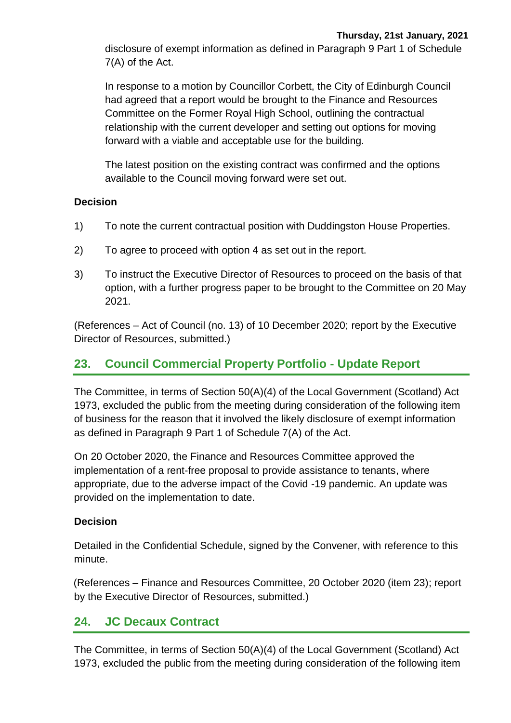disclosure of exempt information as defined in Paragraph 9 Part 1 of Schedule 7(A) of the Act.

In response to a motion by Councillor Corbett, the City of Edinburgh Council had agreed that a report would be brought to the Finance and Resources Committee on the Former Royal High School, outlining the contractual relationship with the current developer and setting out options for moving forward with a viable and acceptable use for the building.

The latest position on the existing contract was confirmed and the options available to the Council moving forward were set out.

### **Decision**

- 1) To note the current contractual position with Duddingston House Properties.
- 2) To agree to proceed with option 4 as set out in the report.
- 3) To instruct the Executive Director of Resources to proceed on the basis of that option, with a further progress paper to be brought to the Committee on 20 May 2021.

(References – Act of Council (no. 13) of 10 December 2020; report by the Executive Director of Resources, submitted.)

# **23. Council Commercial Property Portfolio - Update Report**

The Committee, in terms of Section 50(A)(4) of the Local Government (Scotland) Act 1973, excluded the public from the meeting during consideration of the following item of business for the reason that it involved the likely disclosure of exempt information as defined in Paragraph 9 Part 1 of Schedule 7(A) of the Act.

On 20 October 2020, the Finance and Resources Committee approved the implementation of a rent-free proposal to provide assistance to tenants, where appropriate, due to the adverse impact of the Covid -19 pandemic. An update was provided on the implementation to date.

### **Decision**

Detailed in the Confidential Schedule, signed by the Convener, with reference to this minute.

(References – Finance and Resources Committee, 20 October 2020 (item 23); report by the Executive Director of Resources, submitted.)

# **24. JC Decaux Contract**

The Committee, in terms of Section 50(A)(4) of the Local Government (Scotland) Act 1973, excluded the public from the meeting during consideration of the following item